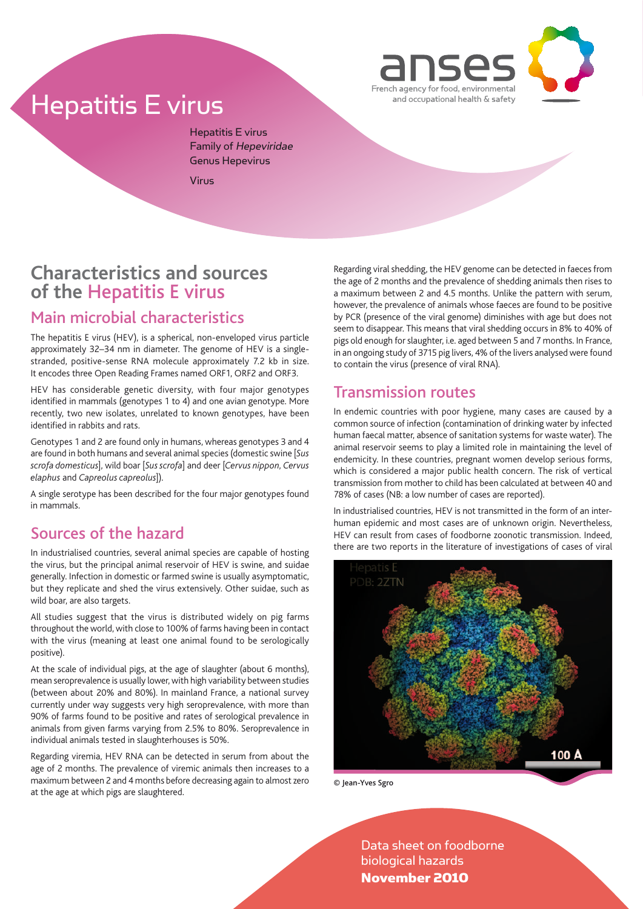

# Hepatitis E virus

Hepatitis E virus Family of Hepeviridae Genus Hepevirus

Virus

# **Characteristics and sources of the** Hepatitis E virus

## Main microbial characteristics

The hepatitis E virus (HEV), is a spherical, non-enveloped virus particle approximately 32–34 nm in diameter. The genome of HEV is a singlestranded, positive-sense RNA molecule approximately 7.2 kb in size. It encodes three Open Reading Frames named ORF1, ORF2 and ORF3.

HEV has considerable genetic diversity, with four major genotypes identified in mammals (genotypes 1 to 4) and one avian genotype. More recently, two new isolates, unrelated to known genotypes, have been identified in rabbits and rats.

Genotypes 1 and 2 are found only in humans, whereas genotypes 3 and 4 are found in both humans and several animal species (domestic swine [*Sus scrofa domesticus*], wild boar [*Sus scrofa*] and deer [*Cervus nippon*, *Cervus elaphus* and *Capreolus capreolus*]).

A single serotype has been described for the four major genotypes found in mammals.

## Sources of the hazard

In industrialised countries, several animal species are capable of hosting the virus, but the principal animal reservoir of HEV is swine, and suidae generally. Infection in domestic or farmed swine is usually asymptomatic, but they replicate and shed the virus extensively. Other suidae, such as wild boar, are also targets.

All studies suggest that the virus is distributed widely on pig farms throughout the world, with close to 100% of farms having been in contact with the virus (meaning at least one animal found to be serologically positive).

At the scale of individual pigs, at the age of slaughter (about 6 months), mean seroprevalence is usually lower, with high variability between studies (between about 20% and 80%). In mainland France, a national survey currently under way suggests very high seroprevalence, with more than 90% of farms found to be positive and rates of serological prevalence in animals from given farms varying from 2.5% to 80%. Seroprevalence in individual animals tested in slaughterhouses is 50%.

Regarding viremia, HEV RNA can be detected in serum from about the age of 2 months. The prevalence of viremic animals then increases to a maximum between 2 and 4 months before decreasing again to almost zero at the age at which pigs are slaughtered.

Regarding viral shedding, the HEV genome can be detected in faeces from the age of 2 months and the prevalence of shedding animals then rises to a maximum between 2 and 4.5 months. Unlike the pattern with serum, however, the prevalence of animals whose faeces are found to be positive by PCR (presence of the viral genome) diminishes with age but does not seem to disappear. This means that viral shedding occurs in 8% to 40% of pigs old enough for slaughter, i.e. aged between 5 and 7 months. In France, in an ongoing study of 3715 pig livers, 4% of the livers analysed were found to contain the virus (presence of viral RNA).

## Transmission routes

In endemic countries with poor hygiene, many cases are caused by a common source of infection (contamination of drinking water by infected human faecal matter, absence of sanitation systems for waste water). The animal reservoir seems to play a limited role in maintaining the level of endemicity. In these countries, pregnant women develop serious forms, which is considered a major public health concern. The risk of vertical transmission from mother to child has been calculated at between 40 and 78% of cases (NB: a low number of cases are reported).

In industrialised countries, HEV is not transmitted in the form of an interhuman epidemic and most cases are of unknown origin. Nevertheless, HEV can result from cases of foodborne zoonotic transmission. Indeed, there are two reports in the literature of investigations of cases of viral



© Jean-Yves Sgro

Data sheet on foodborne biological hazards November 2010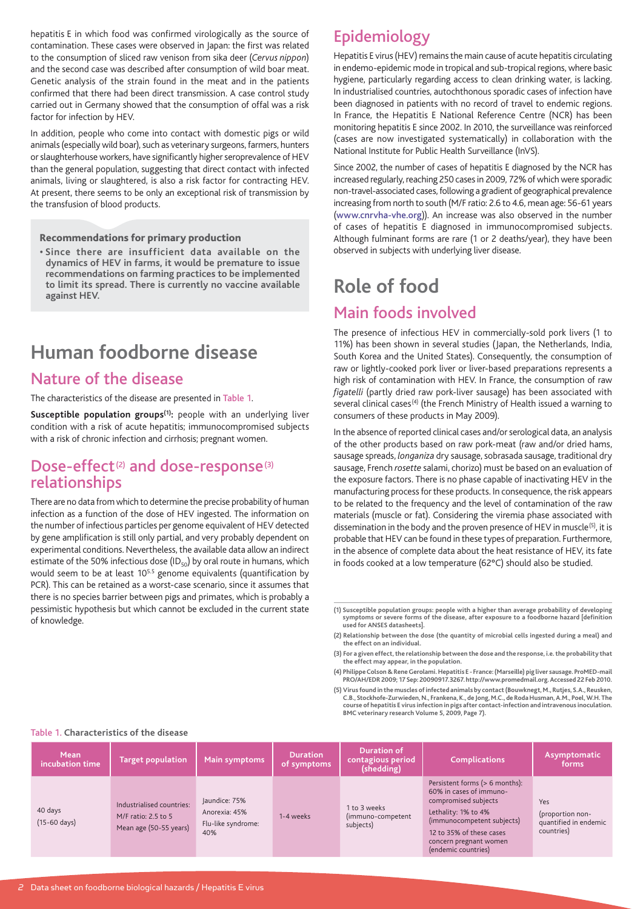hepatitis E in which food was confirmed virologically as the source of contamination. These cases were observed in Japan: the first was related to the consumption of sliced raw venison from sika deer (*Cervus nippon*) and the second case was described after consumption of wild boar meat. Genetic analysis of the strain found in the meat and in the patients confirmed that there had been direct transmission. A case control study carried out in Germany showed that the consumption of offal was a risk factor for infection by HEV.

In addition, people who come into contact with domestic pigs or wild animals (especially wild boar), such as veterinary surgeons, farmers, hunters or slaughterhouse workers, have significantly higher seroprevalence of HEV than the general population, suggesting that direct contact with infected animals, living or slaughtered, is also a risk factor for contracting HEV. At present, there seems to be only an exceptional risk of transmission by the transfusion of blood products.

#### Recommendations for primary production

**• Since there are insufficient data available on the dynamics of HEV in farms, it would be premature to issue recommendations on farming practices to be implemented to limit its spread. There is currently no vaccine available against HEV.**

# **Human foodborne disease**

### Nature of the disease

The characteristics of the disease are presented in Table 1.

Susceptible population groups<sup>(1)</sup>: people with an underlying liver condition with a risk of acute hepatitis; immunocompromised subjects with a risk of chronic infection and cirrhosis; pregnant women.

### Dose-effect<sup>(2)</sup> and dose-response<sup>(3)</sup> relationships

There are no data from which to determine the precise probability of human infection as a function of the dose of HEV ingested. The information on the number of infectious particles per genome equivalent of HEV detected by gene amplification is still only partial, and very probably dependent on experimental conditions. Nevertheless, the available data allow an indirect estimate of the 50% infectious dose (ID<sub>50</sub>) by oral route in humans, which would seem to be at least 10<sup>5.5</sup> genome equivalents (quantification by PCR). This can be retained as a worst-case scenario, since it assumes that there is no species barrier between pigs and primates, which is probably a pessimistic hypothesis but which cannot be excluded in the current state of knowledge.

# Epidemiology

Hepatitis E virus (HEV) remains the main cause of acute hepatitis circulating in endemo-epidemic mode in tropical and sub-tropical regions, where basic hygiene, particularly regarding access to clean drinking water, is lacking. In industrialised countries, autochthonous sporadic cases of infection have been diagnosed in patients with no record of travel to endemic regions. In France, the Hepatitis E National Reference Centre (NCR) has been monitoring hepatitis E since 2002. In 2010, the surveillance was reinforced (cases are now investigated systematically) in collaboration with the National Institute for Public Health Surveillance (InVS).

Since 2002, the number of cases of hepatitis E diagnosed by the NCR has increased regularly, reaching 250 cases in 2009, 72% of which were sporadic non-travel-associated cases, following a gradient of geographical prevalence increasing from north to south (M/F ratio: 2.6 to 4.6, mean age: 56-61 years (www.cnrvha-vhe.org)). An increase was also observed in the number of cases of hepatitis E diagnosed in immunocompromised subjects. Although fulminant forms are rare (1 or 2 deaths/year), they have been observed in subjects with underlying liver disease.

# **Role of food**

## Main foods involved

The presence of infectious HEV in commercially-sold pork livers (1 to 11%) has been shown in several studies (Japan, the Netherlands, India, South Korea and the United States). Consequently, the consumption of raw or lightly-cooked pork liver or liver-based preparations represents a high risk of contamination with HEV. In France, the consumption of raw *figatelli* (partly dried raw pork-liver sausage) has been associated with several clinical cases<sup>(4)</sup> (the French Ministry of Health issued a warning to consumers of these products in May 2009).

In the absence of reported clinical cases and/or serological data, an analysis of the other products based on raw pork-meat (raw and/or dried hams, sausage spreads, *longaniza* dry sausage, sobrasada sausage, traditional dry sausage, French *rosette* salami, chorizo) must be based on an evaluation of the exposure factors. There is no phase capable of inactivating HEV in the manufacturing process for these products. In consequence, the risk appears to be related to the frequency and the level of contamination of the raw materials (muscle or fat). Considering the viremia phase associated with dissemination in the body and the proven presence of HEV in muscle<sup>(5)</sup>, it is probable that HEV can be found in these types of preparation. Furthermore, in the absence of complete data about the heat resistance of HEV, its fate in foods cooked at a low temperature (62°C) should also be studied.

**(1) Susceptible population groups: people with a higher than average probability of developing symptoms or severe forms of the disease, after exposure to a foodborne hazard [definition used for ANSES datasheets].**

**(2) Relationship between the dose (the quantity of microbial cells ingested during a meal) and the effect on an individual.**

**(3) For a given effect, the relationship between the dose and the response, i.e. the probability that the effect may appear, in the population.**

**(4) Philippe Colson & Rene Gerolami. Hepatitis E - France: (Marseille) pig liver sausage. ProMED-mail PRO/AH/EDR 2009; 17 Sep: 20090917.3267. http://www.promedmail.org. Accessed 22 Feb 2010.** 

**(5) Virus found in the muscles of infected animals by contact (Bouwknegt, M., Rutjes, S.A., Reusken, C.B., Stockhofe-Zurwieden, N., Frankena, K., de Jong, M.C., de Roda Husman, A.M., Poel, W.H. The course of hepatitis E virus infection in pigs after contact-infection and intravenous inoculation. BMC veterinary research Volume 5, 2009, Page 7).**

#### Table 1. **Characteristics of the disease**

| וטטוכ ו. כווטוטכנכוואנוכא טו נווכ שואכטאכ |                                                                            |                                                             |                                |                                                       |                                                                                                                                                                                                                     |                                                                |
|-------------------------------------------|----------------------------------------------------------------------------|-------------------------------------------------------------|--------------------------------|-------------------------------------------------------|---------------------------------------------------------------------------------------------------------------------------------------------------------------------------------------------------------------------|----------------------------------------------------------------|
| <b>Mean</b><br>incubation time            | <b>Target population</b>                                                   | Main symptoms                                               | <b>Duration</b><br>of symptoms | <b>Duration of</b><br>contagious period<br>(shedding) | <b>Complications</b>                                                                                                                                                                                                | Asymptomatic<br>forms                                          |
| 40 days<br>$(15-60 \text{ days})$         | Industrialised countries:<br>M/F ratio: 2.5 to 5<br>Mean age (50-55 years) | Jaundice: 75%<br>Anorexia: 45%<br>Flu-like syndrome:<br>40% | 1-4 weeks                      | 1 to 3 weeks<br>(immuno-competent<br>subjects)        | Persistent forms (> 6 months):<br>60% in cases of immuno-<br>compromised subjects<br>Lethality: 1% to 4%<br>(immunocompetent subjects)<br>12 to 35% of these cases<br>concern pregnant women<br>(endemic countries) | Yes<br>(proportion non-<br>quantified in endemic<br>countries) |